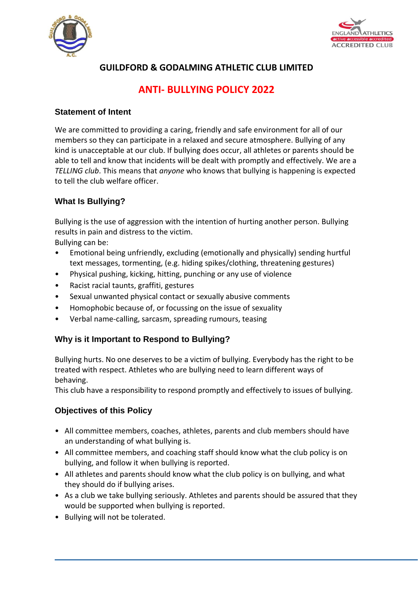



## **GUILDFORD & GODALMING ATHLETIC CLUB LIMITED**

# **ANTI- BULLYING POLICY 2022**

#### **Statement of Intent**

We are committed to providing a caring, friendly and safe environment for all of our members so they can participate in a relaxed and secure atmosphere. Bullying of any kind is unacceptable at our club. If bullying does occur, all athletes or parents should be able to tell and know that incidents will be dealt with promptly and effectively. We are a *TELLING club*. This means that *anyone* who knows that bullying is happening is expected to tell the club welfare officer.

## **What Is Bullying?**

Bullying is the use of aggression with the intention of hurting another person. Bullying results in pain and distress to the victim.

Bullying can be:

- Emotional being unfriendly, excluding (emotionally and physically) sending hurtful text messages, tormenting, (e.g. hiding spikes/clothing, threatening gestures)
- Physical pushing, kicking, hitting, punching or any use of violence
- Racist racial taunts, graffiti, gestures
- Sexual unwanted physical contact or sexually abusive comments
- Homophobic because of, or focussing on the issue of sexuality
- Verbal name-calling, sarcasm, spreading rumours, teasing

## **Why is it Important to Respond to Bullying?**

Bullying hurts. No one deserves to be a victim of bullying. Everybody has the right to be treated with respect. Athletes who are bullying need to learn different ways of behaving.

This club have a responsibility to respond promptly and effectively to issues of bullying.

## **Objectives of this Policy**

- All committee members, coaches, athletes, parents and club members should have an understanding of what bullying is.
- All committee members, and coaching staff should know what the club policy is on bullying, and follow it when bullying is reported.
- All athletes and parents should know what the club policy is on bullying, and what they should do if bullying arises.
- As a club we take bullying seriously. Athletes and parents should be assured that they would be supported when bullying is reported.
- Bullying will not be tolerated.